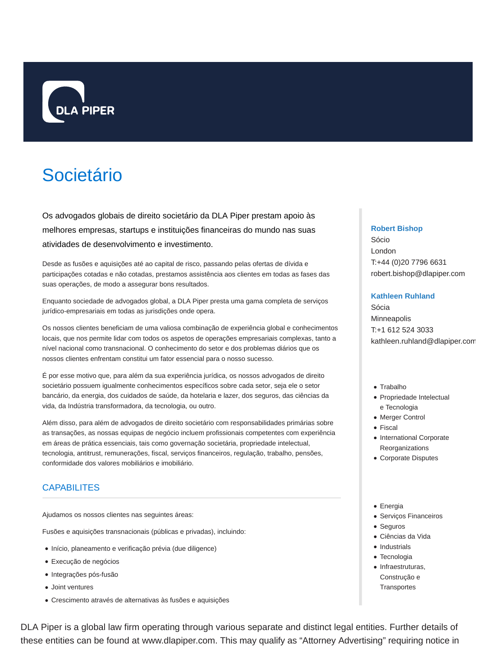

# Societário

Os advogados globais de direito societário da DLA Piper prestam apoio às melhores empresas, startups e instituições financeiras do mundo nas suas atividades de desenvolvimento e investimento.

Desde as fusões e aquisições até ao capital de risco, passando pelas ofertas de dívida e participações cotadas e não cotadas, prestamos assistência aos clientes em todas as fases das suas operações, de modo a assegurar bons resultados.

Enquanto sociedade de advogados global, a DLA Piper presta uma gama completa de serviços jurídico-empresariais em todas as jurisdições onde opera.

Os nossos clientes beneficiam de uma valiosa combinação de experiência global e conhecimentos locais, que nos permite lidar com todos os aspetos de operações empresariais complexas, tanto a nível nacional como transnacional. O conhecimento do setor e dos problemas diários que os nossos clientes enfrentam constitui um fator essencial para o nosso sucesso.

É por esse motivo que, para além da sua experiência jurídica, os nossos advogados de direito societário possuem igualmente conhecimentos específicos sobre cada setor, seja ele o setor bancário, da energia, dos cuidados de saúde, da hotelaria e lazer, dos seguros, das ciências da vida, da Indústria transformadora, da tecnologia, ou outro.

Além disso, para além de advogados de direito societário com responsabilidades primárias sobre as transações, as nossas equipas de negócio incluem profissionais competentes com experiência em áreas de prática essenciais, tais como governação societária, propriedade intelectual, tecnologia, antitrust, remunerações, fiscal, serviços financeiros, regulação, trabalho, pensões, conformidade dos valores mobiliários e imobiliário.

# **CAPABILITES**

Ajudamos os nossos clientes nas seguintes áreas:

Fusões e aquisições transnacionais (públicas e privadas), incluindo:

- Início, planeamento e verificação prévia (due diligence)
- Execução de negócios
- Integrações pós-fusão
- Joint ventures
- Crescimento através de alternativas às fusões e aquisições

# DLA Piper is a global law firm operating through various separate and distinct legal entities. Further details of these entities can be found at www.dlapiper.com. This may qualify as "Attorney Advertising" requiring notice in

### **Robert Bishop**

Sócio London T:+44 (0)20 7796 6631 robert.bishop@dlapiper.com

### **Kathleen Ruhland**

Sócia **Minneapolis** T:+1 612 524 3033 kathleen.ruhland@dlapiper.com

- Trabalho
- Propriedade Intelectual e Tecnologia
- Merger Control
- Fiscal
- International Corporate Reorganizations
- Corporate Disputes
- Energia
- Serviços Financeiros
- Seguros
- Ciências da Vida
- Industrials
- Tecnologia
- Infraestruturas, Construção e **Transportes**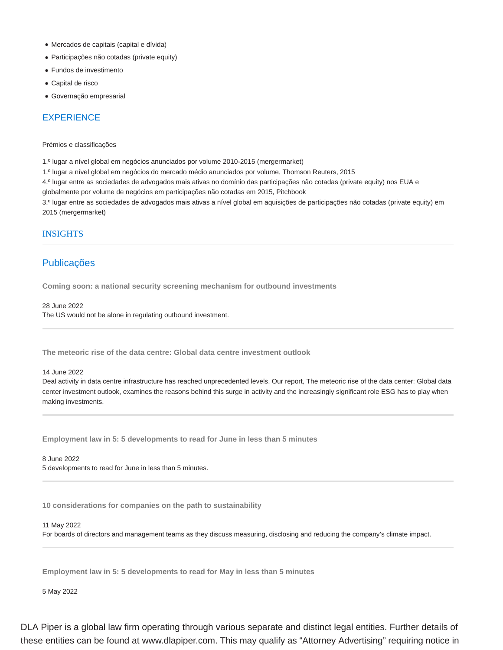- Mercados de capitais (capital e dívida)
- Participações não cotadas (private equity)
- Fundos de investimento
- Capital de risco
- Governação empresarial

# **EXPERIENCE**

### Prémios e classificações

1.º lugar a nível global em negócios anunciados por volume 2010-2015 (mergermarket)

- 1.º lugar a nível global em negócios do mercado médio anunciados por volume, Thomson Reuters, 2015
- 4.º lugar entre as sociedades de advogados mais ativas no domínio das participações não cotadas (private equity) nos EUA e

globalmente por volume de negócios em participações não cotadas em 2015, Pitchbook

3.º lugar entre as sociedades de advogados mais ativas a nível global em aquisições de participações não cotadas (private equity) em 2015 (mergermarket)

# INSIGHTS

# Publicações

**Coming soon: a national security screening mechanism for outbound investments**

28 June 2022 The US would not be alone in regulating outbound investment.

**The meteoric rise of the data centre: Global data centre investment outlook**

### 14 June 2022

Deal activity in data centre infrastructure has reached unprecedented levels. Our report, The meteoric rise of the data center: Global data center investment outlook, examines the reasons behind this surge in activity and the increasingly significant role ESG has to play when making investments.

**Employment law in 5: 5 developments to read for June in less than 5 minutes**

8 June 2022 5 developments to read for June in less than 5 minutes.

**10 considerations for companies on the path to sustainability**

### 11 May 2022

For boards of directors and management teams as they discuss measuring, disclosing and reducing the company's climate impact.

**Employment law in 5: 5 developments to read for May in less than 5 minutes**

5 May 2022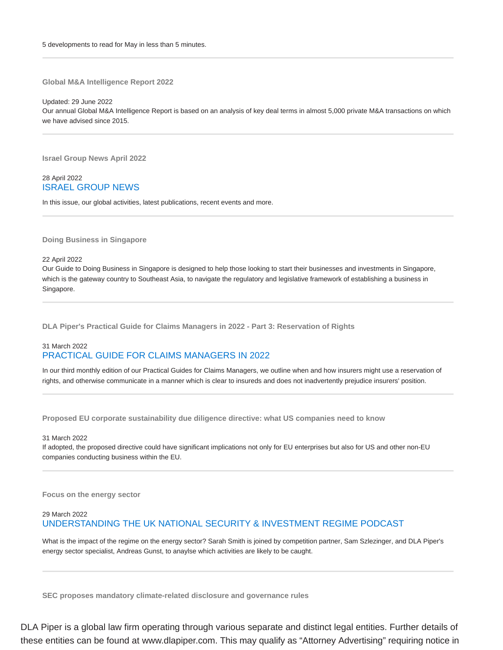**Global M&A Intelligence Report 2022**

Updated: 29 June 2022 Our annual Global M&A Intelligence Report is based on an analysis of key deal terms in almost 5,000 private M&A transactions on which we have advised since 2015.

**Israel Group News April 2022**

# 28 April 2022 ISRAEL GROUP NEWS

In this issue, our global activities, latest publications, recent events and more.

### **Doing Business in Singapore**

22 April 2022

Our Guide to Doing Business in Singapore is designed to help those looking to start their businesses and investments in Singapore, which is the gateway country to Southeast Asia, to navigate the regulatory and legislative framework of establishing a business in Singapore.

**DLA Piper's Practical Guide for Claims Managers in 2022 - Part 3: Reservation of Rights**

# 31 March 2022 PRACTICAL GUIDE FOR CLAIMS MANAGERS IN 2022

In our third monthly edition of our Practical Guides for Claims Managers, we outline when and how insurers might use a reservation of rights, and otherwise communicate in a manner which is clear to insureds and does not inadvertently prejudice insurers' position.

**Proposed EU corporate sustainability due diligence directive: what US companies need to know**

### 31 March 2022

If adopted, the proposed directive could have significant implications not only for EU enterprises but also for US and other non-EU companies conducting business within the EU.

**Focus on the energy sector**

# 29 March 2022

# UNDERSTANDING THE UK NATIONAL SECURITY & INVESTMENT REGIME PODCAST

What is the impact of the regime on the energy sector? Sarah Smith is joined by competition partner, Sam Szlezinger, and DLA Piper's energy sector specialist, Andreas Gunst, to anaylse which activities are likely to be caught.

**SEC proposes mandatory climate-related disclosure and governance rules**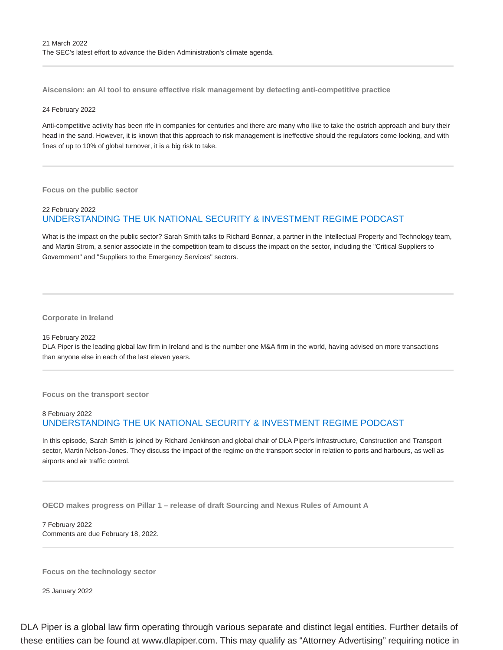**Aiscension: an AI tool to ensure effective risk management by detecting anti-competitive practice**

### 24 February 2022

Anti-competitive activity has been rife in companies for centuries and there are many who like to take the ostrich approach and bury their head in the sand. However, it is known that this approach to risk management is ineffective should the regulators come looking, and with fines of up to 10% of global turnover, it is a big risk to take.

**Focus on the public sector**

# 22 February 2022 UNDERSTANDING THE UK NATIONAL SECURITY & INVESTMENT REGIME PODCAST

What is the impact on the public sector? Sarah Smith talks to Richard Bonnar, a partner in the Intellectual Property and Technology team, and Martin Strom, a senior associate in the competition team to discuss the impact on the sector, including the "Critical Suppliers to Government" and "Suppliers to the Emergency Services" sectors.

**Corporate in Ireland**

### 15 February 2022

DLA Piper is the leading global law firm in Ireland and is the number one M&A firm in the world, having advised on more transactions than anyone else in each of the last eleven years.

**Focus on the transport sector**

# 8 February 2022 UNDERSTANDING THE UK NATIONAL SECURITY & INVESTMENT REGIME PODCAST

In this episode, Sarah Smith is joined by Richard Jenkinson and global chair of DLA Piper's Infrastructure, Construction and Transport sector, Martin Nelson-Jones. They discuss the impact of the regime on the transport sector in relation to ports and harbours, as well as airports and air traffic control.

**OECD makes progress on Pillar 1 – release of draft Sourcing and Nexus Rules of Amount A**

7 February 2022 Comments are due February 18, 2022.

**Focus on the technology sector**

25 January 2022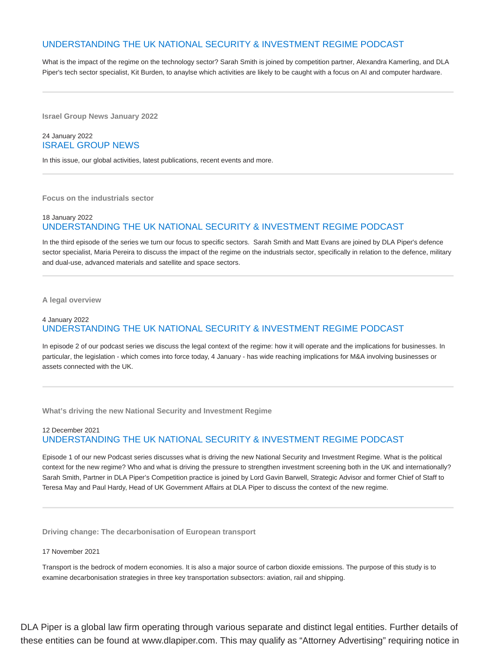# UNDERSTANDING THE UK NATIONAL SECURITY & INVESTMENT REGIME PODCAST

What is the impact of the regime on the technology sector? Sarah Smith is joined by competition partner, Alexandra Kamerling, and DLA Piper's tech sector specialist, Kit Burden, to anaylse which activities are likely to be caught with a focus on AI and computer hardware.

**Israel Group News January 2022**

### 24 January 2022 ISRAEL GROUP NEWS

In this issue, our global activities, latest publications, recent events and more.

**Focus on the industrials sector**

# 18 January 2022 UNDERSTANDING THE UK NATIONAL SECURITY & INVESTMENT REGIME PODCAST

In the third episode of the series we turn our focus to specific sectors. Sarah Smith and Matt Evans are joined by DLA Piper's defence sector specialist, Maria Pereira to discuss the impact of the regime on the industrials sector, specifically in relation to the defence, military and dual-use, advanced materials and satellite and space sectors.

**A legal overview**

# 4 January 2022 UNDERSTANDING THE UK NATIONAL SECURITY & INVESTMENT REGIME PODCAST

In episode 2 of our podcast series we discuss the legal context of the regime: how it will operate and the implications for businesses. In particular, the legislation - which comes into force today, 4 January - has wide reaching implications for M&A involving businesses or assets connected with the UK.

**What's driving the new National Security and Investment Regime**

# 12 December 2021 UNDERSTANDING THE UK NATIONAL SECURITY & INVESTMENT REGIME PODCAST

Episode 1 of our new Podcast series discusses what is driving the new National Security and Investment Regime. What is the political context for the new regime? Who and what is driving the pressure to strengthen investment screening both in the UK and internationally? Sarah Smith, Partner in DLA Piper's Competition practice is joined by Lord Gavin Barwell, Strategic Advisor and former Chief of Staff to Teresa May and Paul Hardy, Head of UK Government Affairs at DLA Piper to discuss the context of the new regime.

**Driving change: The decarbonisation of European transport**

### 17 November 2021

Transport is the bedrock of modern economies. It is also a major source of carbon dioxide emissions. The purpose of this study is to examine decarbonisation strategies in three key transportation subsectors: aviation, rail and shipping.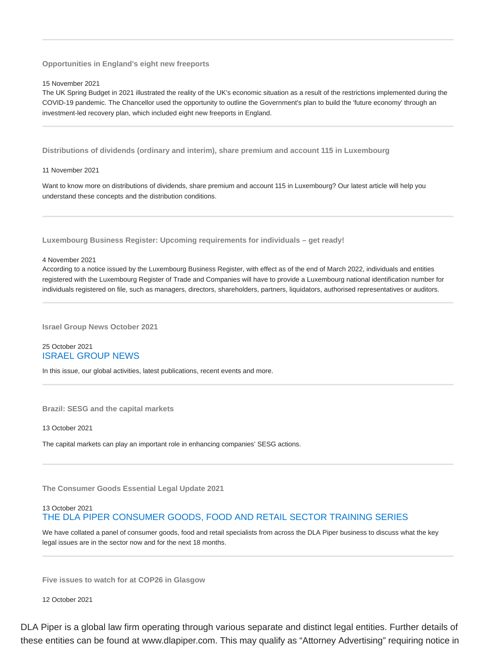**Opportunities in England's eight new freeports**

15 November 2021

The UK Spring Budget in 2021 illustrated the reality of the UK's economic situation as a result of the restrictions implemented during the COVID-19 pandemic. The Chancellor used the opportunity to outline the Government's plan to build the 'future economy' through an investment-led recovery plan, which included eight new freeports in England.

**Distributions of dividends (ordinary and interim), share premium and account 115 in Luxembourg**

11 November 2021

Want to know more on distributions of dividends, share premium and account 115 in Luxembourg? Our latest article will help you understand these concepts and the distribution conditions.

**Luxembourg Business Register: Upcoming requirements for individuals – get ready!**

4 November 2021

According to a notice issued by the Luxembourg Business Register, with effect as of the end of March 2022, individuals and entities registered with the Luxembourg Register of Trade and Companies will have to provide a Luxembourg national identification number for individuals registered on file, such as managers, directors, shareholders, partners, liquidators, authorised representatives or auditors.

**Israel Group News October 2021**

25 October 2021 ISRAEL GROUP NEWS

In this issue, our global activities, latest publications, recent events and more.

**Brazil: SESG and the capital markets**

13 October 2021

The capital markets can play an important role in enhancing companies' SESG actions.

**The Consumer Goods Essential Legal Update 2021**

# 13 October 2021 THE DLA PIPER CONSUMER GOODS, FOOD AND RETAIL SECTOR TRAINING SERIES

We have collated a panel of consumer goods, food and retail specialists from across the DLA Piper business to discuss what the key legal issues are in the sector now and for the next 18 months.

**Five issues to watch for at COP26 in Glasgow**

12 October 2021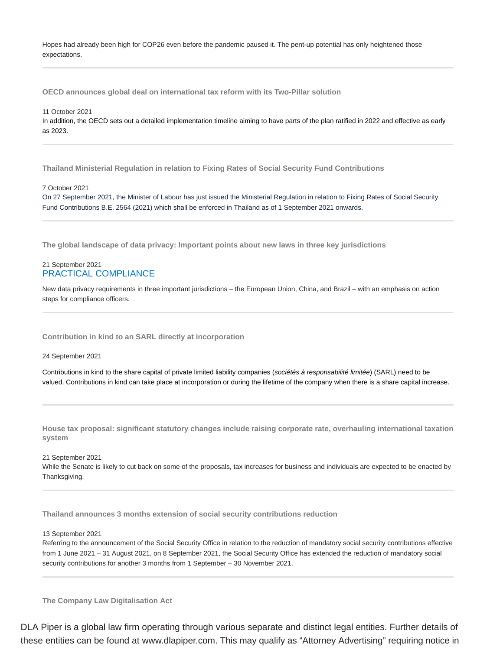Hopes had already been high for COP26 even before the pandemic paused it. The pent-up potential has only heightened those expectations.

**OECD announces global deal on international tax reform with its Two-Pillar solution**

11 October 2021

In addition, the OECD sets out a detailed implementation timeline aiming to have parts of the plan ratified in 2022 and effective as early as 2023.

**Thailand Ministerial Regulation in relation to Fixing Rates of Social Security Fund Contributions**

7 October 2021

On 27 September 2021, the Minister of Labour has just issued the Ministerial Regulation in relation to Fixing Rates of Social Security Fund Contributions B.E. 2564 (2021) which shall be enforced in Thailand as of 1 September 2021 onwards.

**The global landscape of data privacy: Important points about new laws in three key jurisdictions**

# 21 September 2021 PRACTICAL COMPLIANCE

New data privacy requirements in three important jurisdictions – the European Union, China, and Brazil – with an emphasis on action steps for compliance officers.

**Contribution in kind to an SARL directly at incorporation**

24 September 2021

Contributions in kind to the share capital of private limited liability companies (sociétés à responsabilité limitée) (SARL) need to be valued. Contributions in kind can take place at incorporation or during the lifetime of the company when there is a share capital increase.

**House tax proposal: significant statutory changes include raising corporate rate, overhauling international taxation system**

21 September 2021 While the Senate is likely to cut back on some of the proposals, tax increases for business and individuals are expected to be enacted by Thanksgiving.

**Thailand announces 3 months extension of social security contributions reduction**

13 September 2021

Referring to the announcement of the Social Security Office in relation to the reduction of mandatory social security contributions effective from 1 June 2021 – 31 August 2021, on 8 September 2021, the Social Security Office has extended the reduction of mandatory social security contributions for another 3 months from 1 September – 30 November 2021.

**The Company Law Digitalisation Act**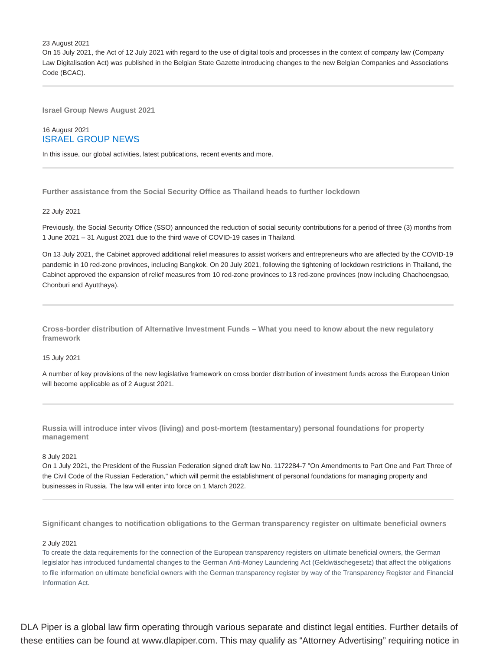23 August 2021

On 15 July 2021, the Act of 12 July 2021 with regard to the use of digital tools and processes in the context of company law (Company Law Digitalisation Act) was published in the Belgian State Gazette introducing changes to the new Belgian Companies and Associations Code (BCAC).

**Israel Group News August 2021**

# 16 August 2021 ISRAEL GROUP NEWS

In this issue, our global activities, latest publications, recent events and more.

**Further assistance from the Social Security Office as Thailand heads to further lockdown**

22 July 2021

Previously, the Social Security Office (SSO) announced the reduction of social security contributions for a period of three (3) months from 1 June 2021 – 31 August 2021 due to the third wave of COVID-19 cases in Thailand.

On 13 July 2021, the Cabinet approved additional relief measures to assist workers and entrepreneurs who are affected by the COVID-19 pandemic in 10 red-zone provinces, including Bangkok. On 20 July 2021, following the tightening of lockdown restrictions in Thailand, the Cabinet approved the expansion of relief measures from 10 red-zone provinces to 13 red-zone provinces (now including Chachoengsao, Chonburi and Ayutthaya).

**Cross-border distribution of Alternative Investment Funds – What you need to know about the new regulatory framework**

15 July 2021

A number of key provisions of the new legislative framework on cross border distribution of investment funds across the European Union will become applicable as of 2 August 2021.

**Russia will introduce inter vivos (living) and post-mortem (testamentary) personal foundations for property management**

8 July 2021

On 1 July 2021, the President of the Russian Federation signed draft law No. 1172284-7 "On Amendments to Part One and Part Three of the Civil Code of the Russian Federation," which will permit the establishment of personal foundations for managing property and businesses in Russia. The law will enter into force on 1 March 2022.

**Significant changes to notification obligations to the German transparency register on ultimate beneficial owners**

### 2 July 2021

To create the data requirements for the connection of the European transparency registers on ultimate beneficial owners, the German legislator has introduced fundamental changes to the German Anti-Money Laundering Act (Geldwäschegesetz) that affect the obligations to file information on ultimate beneficial owners with the German transparency register by way of the Transparency Register and Financial Information Act.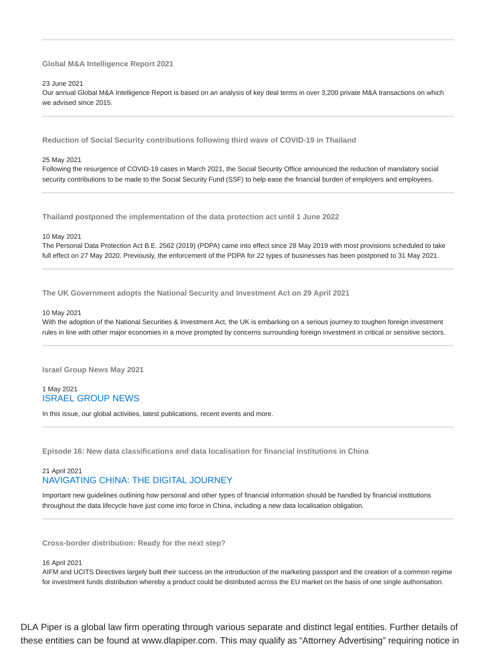**Global M&A Intelligence Report 2021**

23 June 2021

Our annual Global M&A Intelligence Report is based on an analysis of key deal terms in over 3,200 private M&A transactions on which we advised since 2015.

**Reduction of Social Security contributions following third wave of COVID-19 in Thailand**

25 May 2021

Following the resurgence of COVID-19 cases in March 2021, the Social Security Office announced the reduction of mandatory social security contributions to be made to the Social Security Fund (SSF) to help ease the financial burden of employers and employees.

**Thailand postponed the implementation of the data protection act until 1 June 2022**

10 May 2021

The Personal Data Protection Act B.E. 2562 (2019) (PDPA) came into effect since 28 May 2019 with most provisions scheduled to take full effect on 27 May 2020. Previously, the enforcement of the PDPA for 22 types of businesses has been postponed to 31 May 2021.

**The UK Government adopts the National Security and Investment Act on 29 April 2021**

### 10 May 2021

With the adoption of the National Securities & Investment Act, the UK is embarking on a serious journey to toughen foreign investment rules in line with other major economies in a move prompted by concerns surrounding foreign investment in critical or sensitive sectors.

**Israel Group News May 2021**

# 1 May 2021 ISRAEL GROUP NEWS

In this issue, our global activities, latest publications, recent events and more.

**Episode 16: New data classifications and data localisation for financial institutions in China**

# 21 April 2021 NAVIGATING CHINA: THE DIGITAL JOURNEY

Important new guidelines outlining how personal and other types of financial information should be handled by financial institutions throughout the data lifecycle have just come into force in China, including a new data localisation obligation.

**Cross-border distribution: Ready for the next step?**

### 16 April 2021

AIFM and UCITS Directives largely built their success on the introduction of the marketing passport and the creation of a common regime for investment funds distribution whereby a product could be distributed across the EU market on the basis of one single authorisation.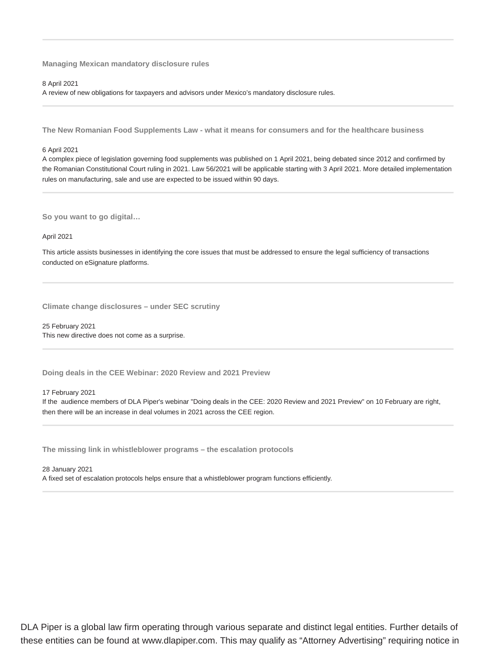**Managing Mexican mandatory disclosure rules**

8 April 2021

A review of new obligations for taxpayers and advisors under Mexico's mandatory disclosure rules.

**The New Romanian Food Supplements Law - what it means for consumers and for the healthcare business**

### 6 April 2021

A complex piece of legislation governing food supplements was published on 1 April 2021, being debated since 2012 and confirmed by the Romanian Constitutional Court ruling in 2021. Law 56/2021 will be applicable starting with 3 April 2021. More detailed implementation rules on manufacturing, sale and use are expected to be issued within 90 days.

**So you want to go digital…**

April 2021

This article assists businesses in identifying the core issues that must be addressed to ensure the legal sufficiency of transactions conducted on eSignature platforms.

**Climate change disclosures – under SEC scrutiny**

25 February 2021 This new directive does not come as a surprise.

**Doing deals in the CEE Webinar: 2020 Review and 2021 Preview**

### 17 February 2021

If the audience members of DLA Piper's webinar "Doing deals in the CEE: 2020 Review and 2021 Preview" on 10 February are right, then there will be an increase in deal volumes in 2021 across the CEE region.

**The missing link in whistleblower programs – the escalation protocols**

28 January 2021 A fixed set of escalation protocols helps ensure that a whistleblower program functions efficiently.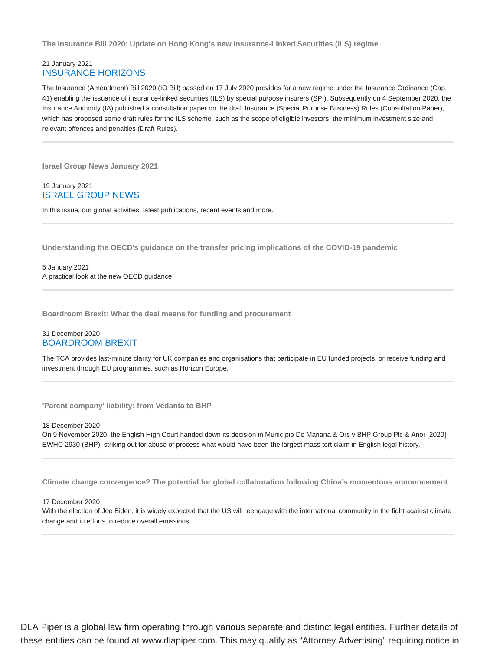**The Insurance Bill 2020: Update on Hong Kong's new Insurance-Linked Securities (ILS) regime**

# 21 January 2021 INSURANCE HORIZONS

The Insurance (Amendment) Bill 2020 (IO Bill) passed on 17 July 2020 provides for a new regime under the Insurance Ordinance (Cap. 41) enabling the issuance of insurance-linked securities (ILS) by special purpose insurers (SPI). Subsequently on 4 September 2020, the Insurance Authority (IA) published a consultation paper on the draft Insurance (Special Purpose Business) Rules (Consultation Paper), which has proposed some draft rules for the ILS scheme, such as the scope of eligible investors, the minimum investment size and relevant offences and penalties (Draft Rules).

**Israel Group News January 2021**

19 January 2021 ISRAEL GROUP NEWS

In this issue, our global activities, latest publications, recent events and more.

**Understanding the OECD's guidance on the transfer pricing implications of the COVID-19 pandemic**

5 January 2021 A practical look at the new OECD guidance.

**Boardroom Brexit: What the deal means for funding and procurement**

# 31 December 2020 BOARDROOM BREXIT

The TCA provides last-minute clarity for UK companies and organisations that participate in EU funded projects, or receive funding and investment through EU programmes, such as Horizon Europe.

**'Parent company' liability: from Vedanta to BHP**

18 December 2020

On 9 November 2020, the English High Court handed down its decision in Município De Mariana & Ors v BHP Group Plc & Anor [2020] EWHC 2930 (BHP), striking out for abuse of process what would have been the largest mass tort claim in English legal history.

**Climate change convergence? The potential for global collaboration following China's momentous announcement**

17 December 2020

With the election of Joe Biden, it is widely expected that the US will reengage with the international community in the fight against climate change and in efforts to reduce overall emissions.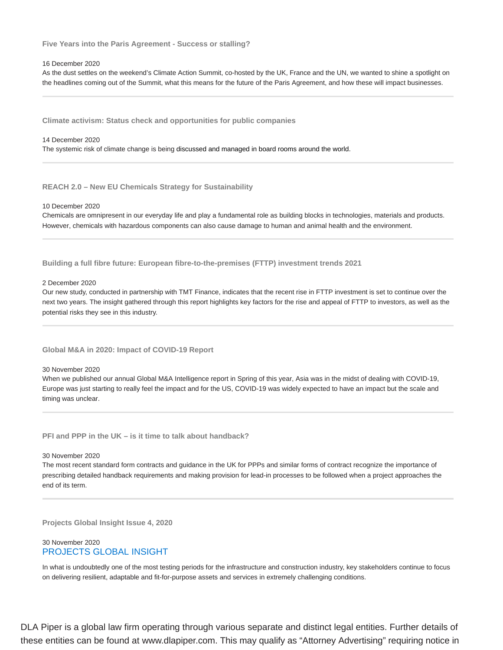**Five Years into the Paris Agreement - Success or stalling?**

### 16 December 2020

As the dust settles on the weekend's Climate Action Summit, co-hosted by the UK, France and the UN, we wanted to shine a spotlight on the headlines coming out of the Summit, what this means for the future of the Paris Agreement, and how these will impact businesses.

**Climate activism: Status check and opportunities for public companies**

#### 14 December 2020

The systemic risk of climate change is being discussed and managed in board rooms around the world.

**REACH 2.0 – New EU Chemicals Strategy for Sustainability**

#### 10 December 2020

Chemicals are omnipresent in our everyday life and play a fundamental role as building blocks in technologies, materials and products. However, chemicals with hazardous components can also cause damage to human and animal health and the environment.

**Building a full fibre future: European fibre-to-the-premises (FTTP) investment trends 2021**

### 2 December 2020

Our new study, conducted in partnership with TMT Finance, indicates that the recent rise in FTTP investment is set to continue over the next two years. The insight gathered through this report highlights key factors for the rise and appeal of FTTP to investors, as well as the potential risks they see in this industry.

### **Global M&A in 2020: Impact of COVID-19 Report**

### 30 November 2020

When we published our annual Global M&A Intelligence report in Spring of this year, Asia was in the midst of dealing with COVID-19, Europe was just starting to really feel the impact and for the US, COVID-19 was widely expected to have an impact but the scale and timing was unclear.

**PFI and PPP in the UK – is it time to talk about handback?**

### 30 November 2020

The most recent standard form contracts and guidance in the UK for PPPs and similar forms of contract recognize the importance of prescribing detailed handback requirements and making provision for lead-in processes to be followed when a project approaches the end of its term.

**Projects Global Insight Issue 4, 2020**

# 30 November 2020 PROJECTS GLOBAL INSIGHT

In what is undoubtedly one of the most testing periods for the infrastructure and construction industry, key stakeholders continue to focus on delivering resilient, adaptable and fit-for-purpose assets and services in extremely challenging conditions.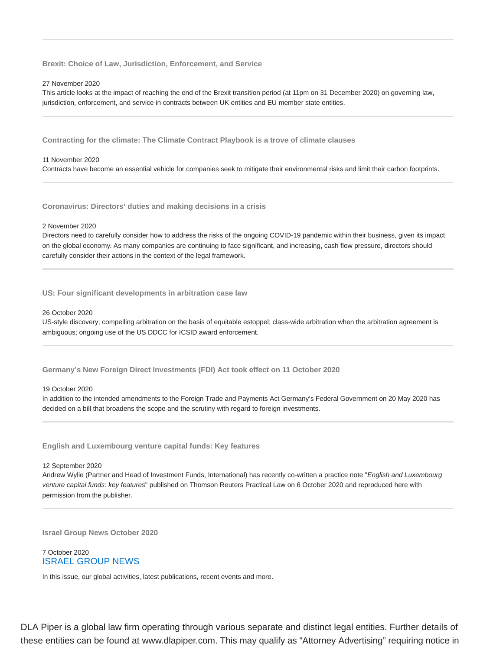**Brexit: Choice of Law, Jurisdiction, Enforcement, and Service**

### 27 November 2020

This article looks at the impact of reaching the end of the Brexit transition period (at 11pm on 31 December 2020) on governing law, jurisdiction, enforcement, and service in contracts between UK entities and EU member state entities.

**Contracting for the climate: The Climate Contract Playbook is a trove of climate clauses**

### 11 November 2020

Contracts have become an essential vehicle for companies seek to mitigate their environmental risks and limit their carbon footprints.

**Coronavirus: Directors' duties and making decisions in a crisis**

### 2 November 2020

Directors need to carefully consider how to address the risks of the ongoing COVID-19 pandemic within their business, given its impact on the global economy. As many companies are continuing to face significant, and increasing, cash flow pressure, directors should carefully consider their actions in the context of the legal framework.

### **US: Four significant developments in arbitration case law**

### 26 October 2020

US-style discovery; compelling arbitration on the basis of equitable estoppel; class-wide arbitration when the arbitration agreement is ambiguous; ongoing use of the US DDCC for ICSID award enforcement.

**Germany's New Foreign Direct Investments (FDI) Act took effect on 11 October 2020**

### 19 October 2020

In addition to the intended amendments to the Foreign Trade and Payments Act Germany's Federal Government on 20 May 2020 has decided on a bill that broadens the scope and the scrutiny with regard to foreign investments.

**English and Luxembourg venture capital funds: Key features**

12 September 2020

Andrew Wylie (Partner and Head of Investment Funds, International) has recently co-written a practice note "English and Luxembourg venture capital funds: key features" published on Thomson Reuters Practical Law on 6 October 2020 and reproduced here with permission from the publisher.

**Israel Group News October 2020**

### 7 October 2020 ISRAEL GROUP NEWS

In this issue, our global activities, latest publications, recent events and more.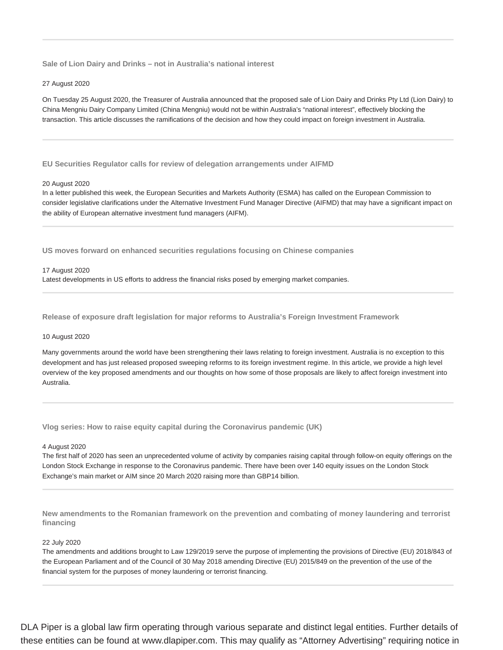**Sale of Lion Dairy and Drinks – not in Australia's national interest**

### 27 August 2020

On Tuesday 25 August 2020, the Treasurer of Australia announced that the proposed sale of Lion Dairy and Drinks Pty Ltd (Lion Dairy) to China Mengniu Dairy Company Limited (China Mengniu) would not be within Australia's "national interest", effectively blocking the transaction. This article discusses the ramifications of the decision and how they could impact on foreign investment in Australia.

**EU Securities Regulator calls for review of delegation arrangements under AIFMD**

### 20 August 2020

In a letter published this week, the European Securities and Markets Authority (ESMA) has called on the European Commission to consider legislative clarifications under the Alternative Investment Fund Manager Directive (AIFMD) that may have a significant impact on the ability of European alternative investment fund managers (AIFM).

**US moves forward on enhanced securities regulations focusing on Chinese companies**

### 17 August 2020

Latest developments in US efforts to address the financial risks posed by emerging market companies.

**Release of exposure draft legislation for major reforms to Australia's Foreign Investment Framework**

### 10 August 2020

Many governments around the world have been strengthening their laws relating to foreign investment. Australia is no exception to this development and has just released proposed sweeping reforms to its foreign investment regime. In this article, we provide a high level overview of the key proposed amendments and our thoughts on how some of those proposals are likely to affect foreign investment into Australia.

**Vlog series: How to raise equity capital during the Coronavirus pandemic (UK)**

### 4 August 2020

The first half of 2020 has seen an unprecedented volume of activity by companies raising capital through follow-on equity offerings on the London Stock Exchange in response to the Coronavirus pandemic. There have been over 140 equity issues on the London Stock Exchange's main market or AIM since 20 March 2020 raising more than GBP14 billion.

**New amendments to the Romanian framework on the prevention and combating of money laundering and terrorist financing**

# 22 July 2020

The amendments and additions brought to Law 129/2019 serve the purpose of implementing the provisions of Directive (EU) 2018/843 of the European Parliament and of the Council of 30 May 2018 amending Directive (EU) 2015/849 on the prevention of the use of the financial system for the purposes of money laundering or terrorist financing.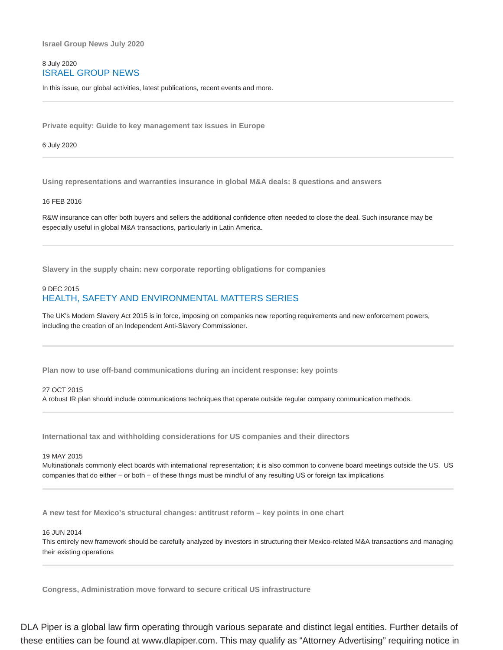**Israel Group News July 2020**

# 8 July 2020 ISRAEL GROUP NEWS

In this issue, our global activities, latest publications, recent events and more.

**Private equity: Guide to key management tax issues in Europe**

### 6 July 2020

**Using representations and warranties insurance in global M&A deals: 8 questions and answers**

### 16 FEB 2016

R&W insurance can offer both buyers and sellers the additional confidence often needed to close the deal. Such insurance may be especially useful in global M&A transactions, particularly in Latin America.

**Slavery in the supply chain: new corporate reporting obligations for companies**

# 9 DEC 2015 HEALTH, SAFETY AND ENVIRONMENTAL MATTERS SERIES

The UK's Modern Slavery Act 2015 is in force, imposing on companies new reporting requirements and new enforcement powers, including the creation of an Independent Anti-Slavery Commissioner.

**Plan now to use off-band communications during an incident response: key points**

### 27 OCT 2015

A robust IR plan should include communications techniques that operate outside regular company communication methods.

**International tax and withholding considerations for US companies and their directors**

### 19 MAY 2015

Multinationals commonly elect boards with international representation; it is also common to convene board meetings outside the US. US companies that do either − or both − of these things must be mindful of any resulting US or foreign tax implications

**A new test for Mexico's structural changes: antitrust reform – key points in one chart**

### 16 JUN 2014

This entirely new framework should be carefully analyzed by investors in structuring their Mexico-related M&A transactions and managing their existing operations

**Congress, Administration move forward to secure critical US infrastructure**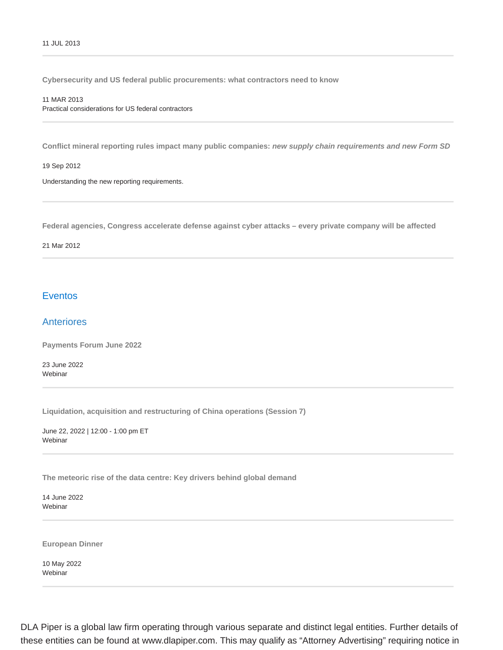**Cybersecurity and US federal public procurements: what contractors need to know**

### 11 MAR 2013

Practical considerations for US federal contractors

**Conflict mineral reporting rules impact many public companies: new supply chain requirements and new Form SD**

19 Sep 2012

Understanding the new reporting requirements.

**Federal agencies, Congress accelerate defense against cyber attacks – every private company will be affected**

### 21 Mar 2012

# **Eventos**

# Anteriores

**Payments Forum June 2022**

23 June 2022 Webinar

**Liquidation, acquisition and restructuring of China operations (Session 7)**

June 22, 2022 | 12:00 - 1:00 pm ET Webinar

**The meteoric rise of the data centre: Key drivers behind global demand**

14 June 2022 **Webinar** 

**European Dinner**

10 May 2022 Webinar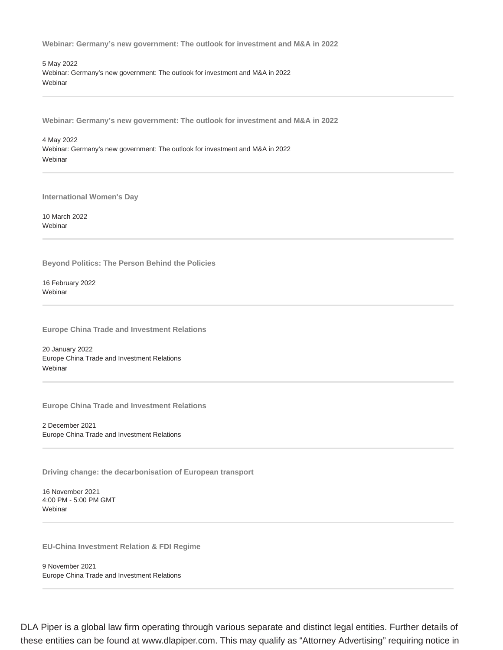**Webinar: Germany's new government: The outlook for investment and M&A in 2022**

5 May 2022 Webinar: Germany's new government: The outlook for investment and M&A in 2022 **Webinar** 

**Webinar: Germany's new government: The outlook for investment and M&A in 2022**

4 May 2022 Webinar: Germany's new government: The outlook for investment and M&A in 2022 Webinar

**International Women's Day**

10 March 2022 **Webinar** 

**Beyond Politics: The Person Behind the Policies**

16 February 2022 **Webinar** 

**Europe China Trade and Investment Relations**

20 January 2022 Europe China Trade and Investment Relations Webinar

**Europe China Trade and Investment Relations**

2 December 2021 Europe China Trade and Investment Relations

**Driving change: the decarbonisation of European transport**

16 November 2021 4:00 PM - 5:00 PM GMT Webinar

**EU-China Investment Relation & FDI Regime**

9 November 2021 Europe China Trade and Investment Relations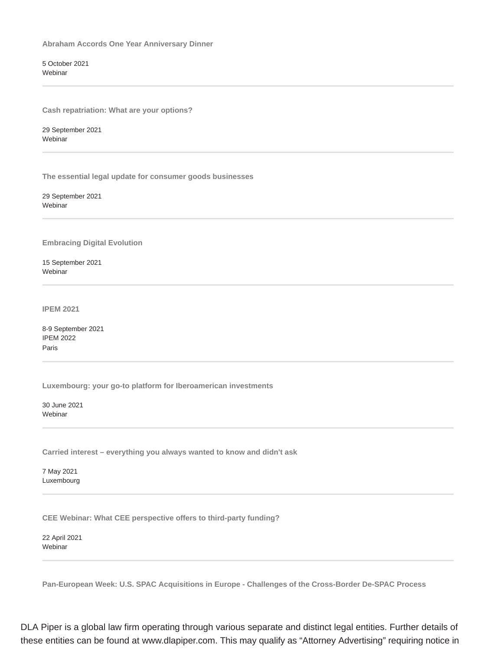**Abraham Accords One Year Anniversary Dinner**

5 October 2021 Webinar

**Cash repatriation: What are your options?**

29 September 2021 Webinar

**The essential legal update for consumer goods businesses**

29 September 2021 Webinar

**Embracing Digital Evolution**

15 September 2021 Webinar

**IPEM 2021**

8-9 September 2021 IPEM 2022 Paris

**Luxembourg: your go-to platform for Iberoamerican investments**

30 June 2021 **Webinar** 

**Carried interest – everything you always wanted to know and didn't ask**

7 May 2021 Luxembourg

**CEE Webinar: What CEE perspective offers to third-party funding?**

22 April 2021 Webinar

**Pan-European Week: U.S. SPAC Acquisitions in Europe - Challenges of the Cross-Border De-SPAC Process**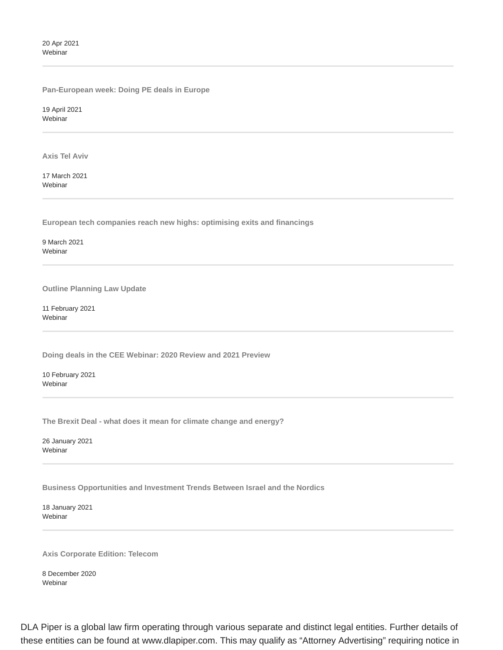20 Apr 2021 Webinar

**Pan-European week: Doing PE deals in Europe**

19 April 2021 Webinar

**Axis Tel Aviv**

17 March 2021 Webinar

**European tech companies reach new highs: optimising exits and financings**

9 March 2021 **Webinar** 

**Outline Planning Law Update**

11 February 2021 Webinar

**Doing deals in the CEE Webinar: 2020 Review and 2021 Preview**

10 February 2021 Webinar

**The Brexit Deal - what does it mean for climate change and energy?**

26 January 2021 Webinar

**Business Opportunities and Investment Trends Between Israel and the Nordics**

18 January 2021 Webinar

**Axis Corporate Edition: Telecom**

8 December 2020 Webinar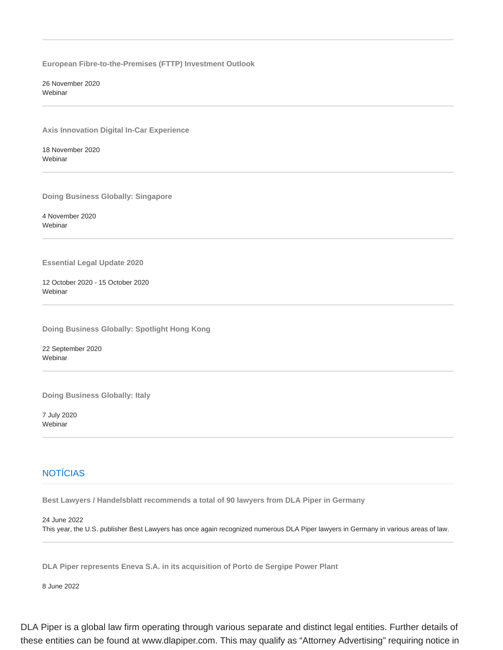**European Fibre-to-the-Premises (FTTP) Investment Outlook**

26 November 2020 **Webinar** 

**Axis Innovation Digital In-Car Experience**

18 November 2020 Webinar

**Doing Business Globally: Singapore**

4 November 2020 Webinar

**Essential Legal Update 2020**

12 October 2020 - 15 October 2020 Webinar

**Doing Business Globally: Spotlight Hong Kong**

22 September 2020 Webinar

**Doing Business Globally: Italy**

7 July 2020 Webinar

# **NOTÍCIAS**

**Best Lawyers / Handelsblatt recommends a total of 90 lawyers from DLA Piper in Germany**

24 June 2022

This year, the U.S. publisher Best Lawyers has once again recognized numerous DLA Piper lawyers in Germany in various areas of law.

**DLA Piper represents Eneva S.A. in its acquisition of Porto de Sergipe Power Plant**

8 June 2022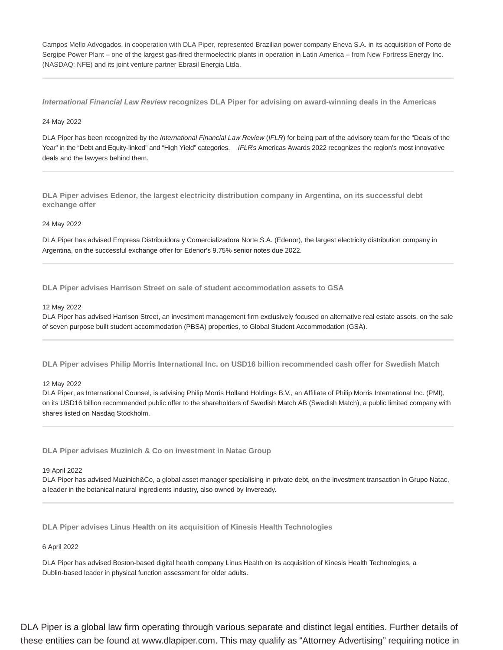Campos Mello Advogados, in cooperation with DLA Piper, represented Brazilian power company Eneva S.A. in its acquisition of Porto de Sergipe Power Plant – one of the largest gas-fired thermoelectric plants in operation in Latin America – from New Fortress Energy Inc. (NASDAQ: NFE) and its joint venture partner Ebrasil Energia Ltda.

**International Financial Law Review recognizes DLA Piper for advising on award-winning deals in the Americas**

# 24 May 2022

DLA Piper has been recognized by the International Financial Law Review (IFLR) for being part of the advisory team for the "Deals of the Year" in the "Debt and Equity-linked" and "High Yield" categories. IFLRs Americas Awards 2022 recognizes the region's most innovative deals and the lawyers behind them.

**DLA Piper advises Edenor, the largest electricity distribution company in Argentina, on its successful debt exchange offer**

### 24 May 2022

DLA Piper has advised Empresa Distribuidora y Comercializadora Norte S.A. (Edenor), the largest electricity distribution company in Argentina, on the successful exchange offer for Edenor's 9.75% senior notes due 2022.

**DLA Piper advises Harrison Street on sale of student accommodation assets to GSA**

### 12 May 2022

DLA Piper has advised Harrison Street, an investment management firm exclusively focused on alternative real estate assets, on the sale of seven purpose built student accommodation (PBSA) properties, to Global Student Accommodation (GSA).

**DLA Piper advises Philip Morris International Inc. on USD16 billion recommended cash offer for Swedish Match**

# 12 May 2022

DLA Piper, as International Counsel, is advising Philip Morris Holland Holdings B.V., an Affiliate of Philip Morris International Inc. (PMI), on its USD16 billion recommended public offer to the shareholders of Swedish Match AB (Swedish Match), a public limited company with shares listed on Nasdaq Stockholm.

**DLA Piper advises Muzinich & Co on investment in Natac Group**

### 19 April 2022

DLA Piper has advised Muzinich&Co, a global asset manager specialising in private debt, on the investment transaction in Grupo Natac, a leader in the botanical natural ingredients industry, also owned by Inveready.

**DLA Piper advises Linus Health on its acquisition of Kinesis Health Technologies**

# 6 April 2022

DLA Piper has advised Boston-based digital health company Linus Health on its acquisition of Kinesis Health Technologies, a Dublin-based leader in physical function assessment for older adults.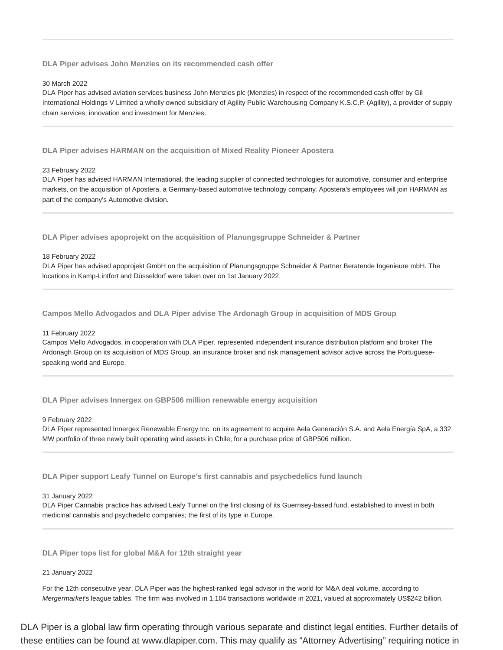**DLA Piper advises John Menzies on its recommended cash offer**

### 30 March 2022

DLA Piper has advised aviation services business John Menzies plc (Menzies) in respect of the recommended cash offer by Gil International Holdings V Limited a wholly owned subsidiary of Agility Public Warehousing Company K.S.C.P. (Agility), a provider of supply chain services, innovation and investment for Menzies.

**DLA Piper advises HARMAN on the acquisition of Mixed Reality Pioneer Apostera**

### 23 February 2022

DLA Piper has advised HARMAN International, the leading supplier of connected technologies for automotive, consumer and enterprise markets, on the acquisition of Apostera, a Germany-based automotive technology company. Apostera's employees will join HARMAN as part of the company's Automotive division.

**DLA Piper advises apoprojekt on the acquisition of Planungsgruppe Schneider & Partner**

### 18 February 2022

DLA Piper has advised apoprojekt GmbH on the acquisition of Planungsgruppe Schneider & Partner Beratende Ingenieure mbH. The locations in Kamp-Lintfort and Düsseldorf were taken over on 1st January 2022.

**Campos Mello Advogados and DLA Piper advise The Ardonagh Group in acquisition of MDS Group**

### 11 February 2022

Campos Mello Advogados, in cooperation with DLA Piper, represented independent insurance distribution platform and broker The Ardonagh Group on its acquisition of MDS Group, an insurance broker and risk management advisor active across the Portuguesespeaking world and Europe.

**DLA Piper advises Innergex on GBP506 million renewable energy acquisition**

### 9 February 2022

DLA Piper represented Innergex Renewable Energy Inc. on its agreement to acquire Aela Generación S.A. and Aela Energía SpA, a 332 MW portfolio of three newly built operating wind assets in Chile, for a purchase price of GBP506 million.

**DLA Piper support Leafy Tunnel on Europe's first cannabis and psychedelics fund launch**

### 31 January 2022

DLA Piper Cannabis practice has advised Leafy Tunnel on the first closing of its Guernsey-based fund, established to invest in both medicinal cannabis and psychedelic companies; the first of its type in Europe.

**DLA Piper tops list for global M&A for 12th straight year**

### 21 January 2022

For the 12th consecutive year, DLA Piper was the highest-ranked legal advisor in the world for M&A deal volume, according to Mergermarket's league tables. The firm was involved in 1,104 transactions worldwide in 2021, valued at approximately US\$242 billion.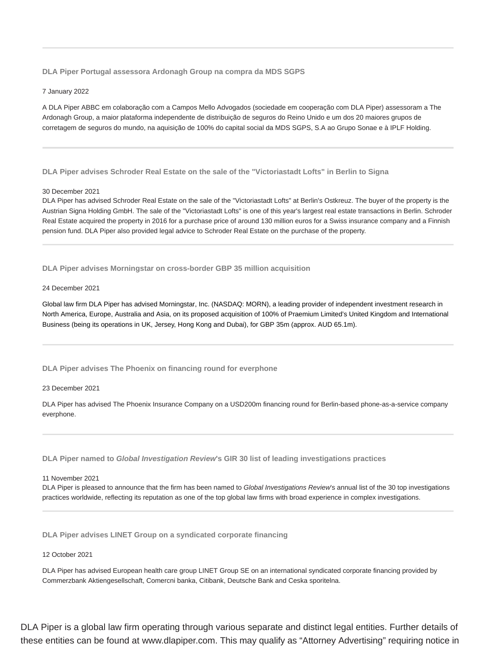**DLA Piper Portugal assessora Ardonagh Group na compra da MDS SGPS**

### 7 January 2022

A DLA Piper ABBC em colaboração com a Campos Mello Advogados (sociedade em cooperação com DLA Piper) assessoram a The Ardonagh Group, a maior plataforma independente de distribuição de seguros do Reino Unido e um dos 20 maiores grupos de corretagem de seguros do mundo, na aquisição de 100% do capital social da MDS SGPS, S.A ao Grupo Sonae e à IPLF Holding.

**DLA Piper advises Schroder Real Estate on the sale of the "Victoriastadt Lofts" in Berlin to Signa**

### 30 December 2021

DLA Piper has advised Schroder Real Estate on the sale of the "Victoriastadt Lofts" at Berlin's Ostkreuz. The buyer of the property is the Austrian Signa Holding GmbH. The sale of the "Victoriastadt Lofts" is one of this year's largest real estate transactions in Berlin. Schroder Real Estate acquired the property in 2016 for a purchase price of around 130 million euros for a Swiss insurance company and a Finnish pension fund. DLA Piper also provided legal advice to Schroder Real Estate on the purchase of the property.

**DLA Piper advises Morningstar on cross-border GBP 35 million acquisition**

### 24 December 2021

Global law firm DLA Piper has advised Morningstar, Inc. (NASDAQ: MORN), a leading provider of independent investment research in North America, Europe, Australia and Asia, on its proposed acquisition of 100% of Praemium Limited's United Kingdom and International Business (being its operations in UK, Jersey, Hong Kong and Dubai), for GBP 35m (approx. AUD 65.1m).

**DLA Piper advises The Phoenix on financing round for everphone**

### 23 December 2021

DLA Piper has advised The Phoenix Insurance Company on a USD200m financing round for Berlin-based phone-as-a-service company everphone.

**DLA Piper named to Global Investigation Review's GIR 30 list of leading investigations practices**

### 11 November 2021

DLA Piper is pleased to announce that the firm has been named to Global Investigations Review's annual list of the 30 top investigations practices worldwide, reflecting its reputation as one of the top global law firms with broad experience in complex investigations.

**DLA Piper advises LINET Group on a syndicated corporate financing**

### 12 October 2021

DLA Piper has advised European health care group LINET Group SE on an international syndicated corporate financing provided by Commerzbank Aktiengesellschaft, Comercni banka, Citibank, Deutsche Bank and Ceska sporitelna.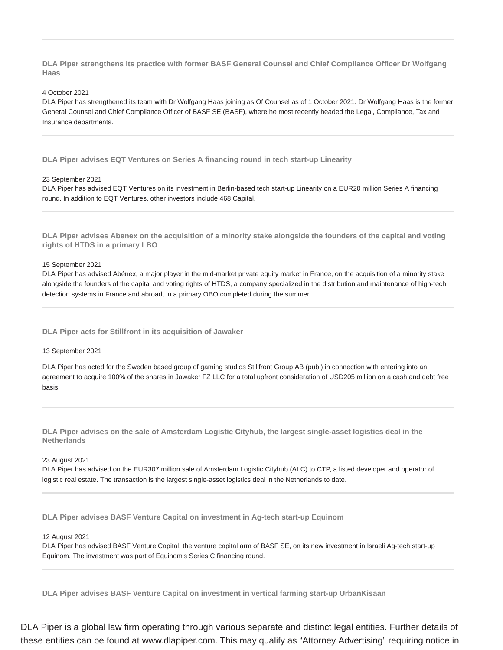**DLA Piper strengthens its practice with former BASF General Counsel and Chief Compliance Officer Dr Wolfgang Haas**

4 October 2021

DLA Piper has strengthened its team with Dr Wolfgang Haas joining as Of Counsel as of 1 October 2021. Dr Wolfgang Haas is the former General Counsel and Chief Compliance Officer of BASF SE (BASF), where he most recently headed the Legal, Compliance, Tax and Insurance departments.

**DLA Piper advises EQT Ventures on Series A financing round in tech start-up Linearity**

23 September 2021

DLA Piper has advised EQT Ventures on its investment in Berlin-based tech start-up Linearity on a EUR20 million Series A financing round. In addition to EQT Ventures, other investors include 468 Capital.

**DLA Piper advises Abenex on the acquisition of a minority stake alongside the founders of the capital and voting rights of HTDS in a primary LBO**

15 September 2021

DLA Piper has advised Abénex, a major player in the mid-market private equity market in France, on the acquisition of a minority stake alongside the founders of the capital and voting rights of HTDS, a company specialized in the distribution and maintenance of high-tech detection systems in France and abroad, in a primary OBO completed during the summer.

**DLA Piper acts for Stillfront in its acquisition of Jawaker**

13 September 2021

DLA Piper has acted for the Sweden based group of gaming studios Stillfront Group AB (publ) in connection with entering into an agreement to acquire 100% of the shares in Jawaker FZ LLC for a total upfront consideration of USD205 million on a cash and debt free basis.

**DLA Piper advises on the sale of Amsterdam Logistic Cityhub, the largest single-asset logistics deal in the Netherlands**

### 23 August 2021

DLA Piper has advised on the EUR307 million sale of Amsterdam Logistic Cityhub (ALC) to CTP, a listed developer and operator of logistic real estate. The transaction is the largest single-asset logistics deal in the Netherlands to date.

**DLA Piper advises BASF Venture Capital on investment in Ag-tech start-up Equinom**

12 August 2021

DLA Piper has advised BASF Venture Capital, the venture capital arm of BASF SE, on its new investment in Israeli Ag-tech start-up Equinom. The investment was part of Equinom's Series C financing round.

**DLA Piper advises BASF Venture Capital on investment in vertical farming start-up UrbanKisaan**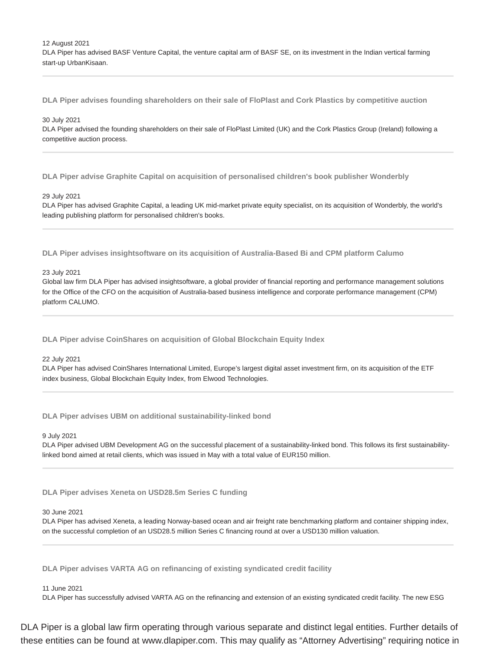12 August 2021

DLA Piper has advised BASF Venture Capital, the venture capital arm of BASF SE, on its investment in the Indian vertical farming start-up UrbanKisaan.

**DLA Piper advises founding shareholders on their sale of FloPlast and Cork Plastics by competitive auction**

### 30 July 2021

DLA Piper advised the founding shareholders on their sale of FloPlast Limited (UK) and the Cork Plastics Group (Ireland) following a competitive auction process.

**DLA Piper advise Graphite Capital on acquisition of personalised children's book publisher Wonderbly**

### 29 July 2021

DLA Piper has advised Graphite Capital, a leading UK mid-market private equity specialist, on its acquisition of Wonderbly, the world's leading publishing platform for personalised children's books.

**DLA Piper advises insightsoftware on its acquisition of Australia-Based Bi and CPM platform Calumo**

### 23 July 2021

Global law firm DLA Piper has advised insightsoftware, a global provider of financial reporting and performance management solutions for the Office of the CFO on the acquisition of Australia-based business intelligence and corporate performance management (CPM) platform CALUMO.

**DLA Piper advise CoinShares on acquisition of Global Blockchain Equity Index**

### 22 July 2021

DLA Piper has advised CoinShares International Limited, Europe's largest digital asset investment firm, on its acquisition of the ETF index business, Global Blockchain Equity Index, from Elwood Technologies.

**DLA Piper advises UBM on additional sustainability-linked bond**

9 July 2021

DLA Piper advised UBM Development AG on the successful placement of a sustainability-linked bond. This follows its first sustainabilitylinked bond aimed at retail clients, which was issued in May with a total value of EUR150 million.

**DLA Piper advises Xeneta on USD28.5m Series C funding**

### 30 June 2021

DLA Piper has advised Xeneta, a leading Norway-based ocean and air freight rate benchmarking platform and container shipping index, on the successful completion of an USD28.5 million Series C financing round at over a USD130 million valuation.

**DLA Piper advises VARTA AG on refinancing of existing syndicated credit facility**

### 11 June 2021

DLA Piper has successfully advised VARTA AG on the refinancing and extension of an existing syndicated credit facility. The new ESG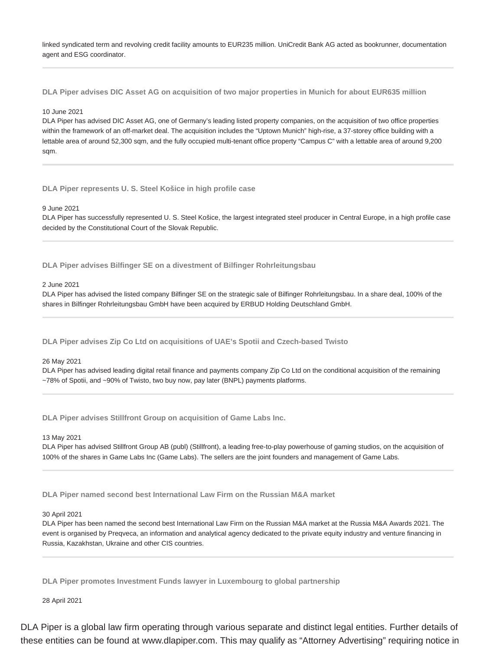linked syndicated term and revolving credit facility amounts to EUR235 million. UniCredit Bank AG acted as bookrunner, documentation agent and ESG coordinator.

**DLA Piper advises DIC Asset AG on acquisition of two major properties in Munich for about EUR635 million**

### 10 June 2021

DLA Piper has advised DIC Asset AG, one of Germany's leading listed property companies, on the acquisition of two office properties within the framework of an off-market deal. The acquisition includes the "Uptown Munich" high-rise, a 37-storey office building with a lettable area of around 52,300 sqm, and the fully occupied multi-tenant office property "Campus C" with a lettable area of around 9,200 sqm.

**DLA Piper represents U. S. Steel Košice in high profile case**

9 June 2021

DLA Piper has successfully represented U. S. Steel Košice, the largest integrated steel producer in Central Europe, in a high profile case decided by the Constitutional Court of the Slovak Republic.

**DLA Piper advises Bilfinger SE on a divestment of Bilfinger Rohrleitungsbau**

# 2 June 2021

DLA Piper has advised the listed company Bilfinger SE on the strategic sale of Bilfinger Rohrleitungsbau. In a share deal, 100% of the shares in Bilfinger Rohrleitungsbau GmbH have been acquired by ERBUD Holding Deutschland GmbH.

**DLA Piper advises Zip Co Ltd on acquisitions of UAE's Spotii and Czech-based Twisto**

### 26 May 2021

DLA Piper has advised leading digital retail finance and payments company Zip Co Ltd on the conditional acquisition of the remaining ~78% of Spotii, and ~90% of Twisto, two buy now, pay later (BNPL) payments platforms.

**DLA Piper advises Stillfront Group on acquisition of Game Labs Inc.**

13 May 2021

DLA Piper has advised Stillfront Group AB (publ) (Stillfront), a leading free-to-play powerhouse of gaming studios, on the acquisition of 100% of the shares in Game Labs Inc (Game Labs). The sellers are the joint founders and management of Game Labs.

**DLA Piper named second best International Law Firm on the Russian M&A market**

### 30 April 2021

DLA Piper has been named the second best International Law Firm on the Russian M&A market at the Russia M&A Awards 2021. The event is organised by Preqveca, an information and analytical agency dedicated to the private equity industry and venture financing in Russia, Kazakhstan, Ukraine and other CIS countries.

**DLA Piper promotes Investment Funds lawyer in Luxembourg to global partnership**

28 April 2021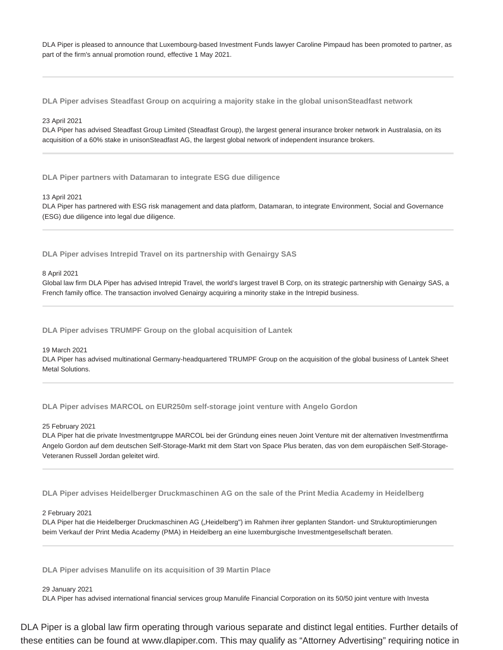DLA Piper is pleased to announce that Luxembourg-based Investment Funds lawyer Caroline Pimpaud has been promoted to partner, as part of the firm's annual promotion round, effective 1 May 2021.

**DLA Piper advises Steadfast Group on acquiring a majority stake in the global unisonSteadfast network**

### 23 April 2021

DLA Piper has advised Steadfast Group Limited (Steadfast Group), the largest general insurance broker network in Australasia, on its acquisition of a 60% stake in unisonSteadfast AG, the largest global network of independent insurance brokers.

**DLA Piper partners with Datamaran to integrate ESG due diligence**

### 13 April 2021

DLA Piper has partnered with ESG risk management and data platform, Datamaran, to integrate Environment, Social and Governance (ESG) due diligence into legal due diligence.

**DLA Piper advises Intrepid Travel on its partnership with Genairgy SAS**

8 April 2021

Global law firm DLA Piper has advised Intrepid Travel, the world's largest travel B Corp, on its strategic partnership with Genairgy SAS, a French family office. The transaction involved Genairgy acquiring a minority stake in the Intrepid business.

**DLA Piper advises TRUMPF Group on the global acquisition of Lantek**

### 19 March 2021

DLA Piper has advised multinational Germany-headquartered TRUMPF Group on the acquisition of the global business of Lantek Sheet Metal Solutions.

**DLA Piper advises MARCOL on EUR250m self-storage joint venture with Angelo Gordon**

### 25 February 2021

DLA Piper hat die private Investmentgruppe MARCOL bei der Gründung eines neuen Joint Venture mit der alternativen Investmentfirma Angelo Gordon auf dem deutschen Self-Storage-Markt mit dem Start von Space Plus beraten, das von dem europäischen Self-Storage-Veteranen Russell Jordan geleitet wird.

**DLA Piper advises Heidelberger Druckmaschinen AG on the sale of the Print Media Academy in Heidelberg**

### 2 February 2021

DLA Piper hat die Heidelberger Druckmaschinen AG ("Heidelberg") im Rahmen ihrer geplanten Standort- und Strukturoptimierungen beim Verkauf der Print Media Academy (PMA) in Heidelberg an eine luxemburgische Investmentgesellschaft beraten.

**DLA Piper advises Manulife on its acquisition of 39 Martin Place**

### 29 January 2021

DLA Piper has advised international financial services group Manulife Financial Corporation on its 50/50 joint venture with Investa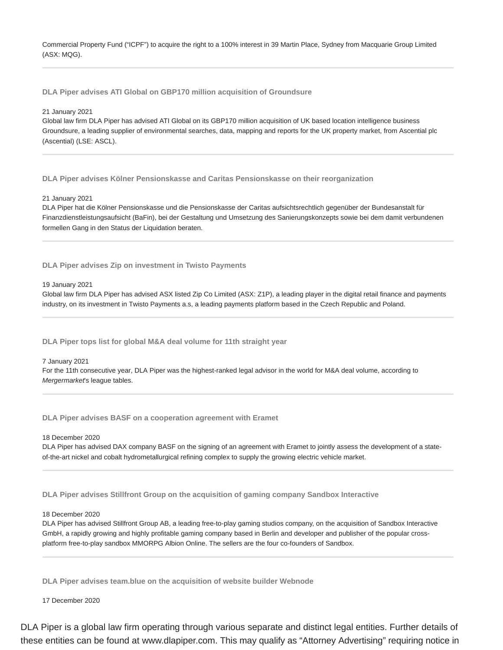Commercial Property Fund ("ICPF") to acquire the right to a 100% interest in 39 Martin Place, Sydney from Macquarie Group Limited (ASX: MQG).

**DLA Piper advises ATI Global on GBP170 million acquisition of Groundsure**

### 21 January 2021

Global law firm DLA Piper has advised ATI Global on its GBP170 million acquisition of UK based location intelligence business Groundsure, a leading supplier of environmental searches, data, mapping and reports for the UK property market, from Ascential plc (Ascential) (LSE: ASCL).

**DLA Piper advises Kölner Pensionskasse and Caritas Pensionskasse on their reorganization**

### 21 January 2021

DLA Piper hat die Kölner Pensionskasse und die Pensionskasse der Caritas aufsichtsrechtlich gegenüber der Bundesanstalt für Finanzdienstleistungsaufsicht (BaFin), bei der Gestaltung und Umsetzung des Sanierungskonzepts sowie bei dem damit verbundenen formellen Gang in den Status der Liquidation beraten.

**DLA Piper advises Zip on investment in Twisto Payments**

### 19 January 2021

Global law firm DLA Piper has advised ASX listed Zip Co Limited (ASX: Z1P), a leading player in the digital retail finance and payments industry, on its investment in Twisto Payments a.s, a leading payments platform based in the Czech Republic and Poland.

**DLA Piper tops list for global M&A deal volume for 11th straight year**

### 7 January 2021

For the 11th consecutive year, DLA Piper was the highest-ranked legal advisor in the world for M&A deal volume, according to Mergermarket's league tables.

**DLA Piper advises BASF on a cooperation agreement with Eramet**

18 December 2020

DLA Piper has advised DAX company BASF on the signing of an agreement with Eramet to jointly assess the development of a stateof-the-art nickel and cobalt hydrometallurgical refining complex to supply the growing electric vehicle market.

**DLA Piper advises Stillfront Group on the acquisition of gaming company Sandbox Interactive**

### 18 December 2020

DLA Piper has advised Stillfront Group AB, a leading free-to-play gaming studios company, on the acquisition of Sandbox Interactive GmbH, a rapidly growing and highly profitable gaming company based in Berlin and developer and publisher of the popular crossplatform free-to-play sandbox MMORPG Albion Online. The sellers are the four co-founders of Sandbox.

**DLA Piper advises team.blue on the acquisition of website builder Webnode**

17 December 2020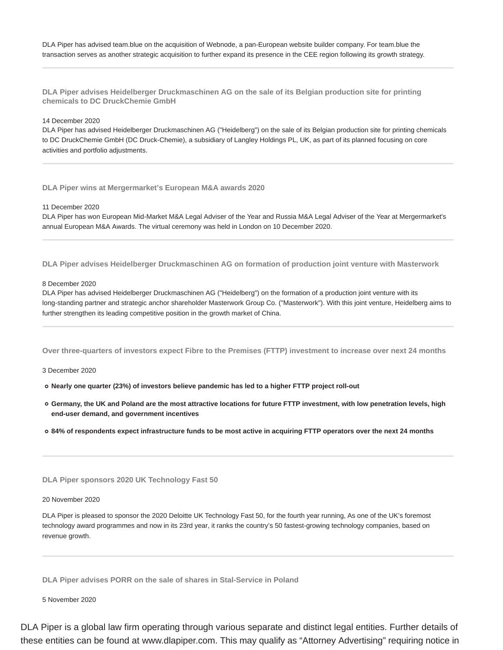DLA Piper has advised team.blue on the acquisition of Webnode, a pan-European website builder company. For team.blue the transaction serves as another strategic acquisition to further expand its presence in the CEE region following its growth strategy.

**DLA Piper advises Heidelberger Druckmaschinen AG on the sale of its Belgian production site for printing chemicals to DC DruckChemie GmbH**

### 14 December 2020

DLA Piper has advised Heidelberger Druckmaschinen AG ("Heidelberg") on the sale of its Belgian production site for printing chemicals to DC DruckChemie GmbH (DC Druck-Chemie), a subsidiary of Langley Holdings PL, UK, as part of its planned focusing on core activities and portfolio adjustments.

**DLA Piper wins at Mergermarket's European M&A awards 2020**

11 December 2020

DLA Piper has won European Mid-Market M&A Legal Adviser of the Year and Russia M&A Legal Adviser of the Year at Mergermarket's annual European M&A Awards. The virtual ceremony was held in London on 10 December 2020.

**DLA Piper advises Heidelberger Druckmaschinen AG on formation of production joint venture with Masterwork**

8 December 2020

DLA Piper has advised Heidelberger Druckmaschinen AG ("Heidelberg") on the formation of a production joint venture with its long-standing partner and strategic anchor shareholder Masterwork Group Co. ("Masterwork"). With this joint venture, Heidelberg aims to further strengthen its leading competitive position in the growth market of China.

**Over three-quarters of investors expect Fibre to the Premises (FTTP) investment to increase over next 24 months**

3 December 2020

- **Nearly one quarter (23%) of investors believe pandemic has led to a higher FTTP project roll-out**
- **Germany, the UK and Poland are the most attractive locations for future FTTP investment, with low penetration levels, high end-user demand, and government incentives**

**84% of respondents expect infrastructure funds to be most active in acquiring FTTP operators over the next 24 months**

**DLA Piper sponsors 2020 UK Technology Fast 50**

20 November 2020

DLA Piper is pleased to sponsor the 2020 Deloitte UK Technology Fast 50, for the fourth year running, As one of the UK's foremost technology award programmes and now in its 23rd year, it ranks the country's 50 fastest-growing technology companies, based on revenue growth.

**DLA Piper advises PORR on the sale of shares in Stal-Service in Poland**

5 November 2020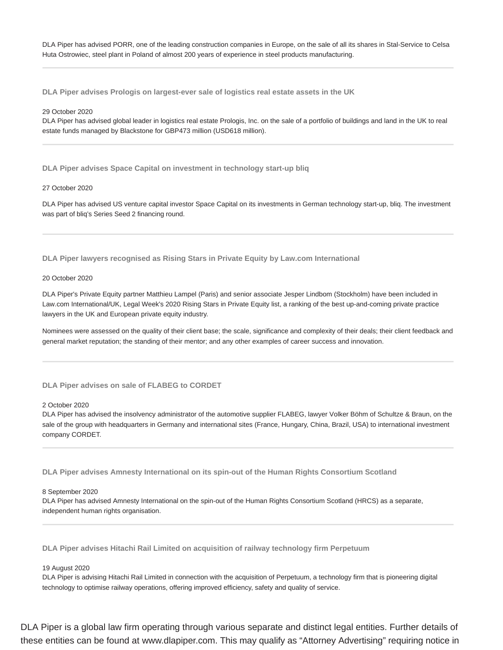DLA Piper has advised PORR, one of the leading construction companies in Europe, on the sale of all its shares in Stal-Service to Celsa Huta Ostrowiec, steel plant in Poland of almost 200 years of experience in steel products manufacturing.

**DLA Piper advises Prologis on largest-ever sale of logistics real estate assets in the UK**

### 29 October 2020

DLA Piper has advised global leader in logistics real estate Prologis, Inc. on the sale of a portfolio of buildings and land in the UK to real estate funds managed by Blackstone for GBP473 million (USD618 million).

**DLA Piper advises Space Capital on investment in technology start-up bliq**

### 27 October 2020

DLA Piper has advised US venture capital investor Space Capital on its investments in German technology start-up, bliq. The investment was part of bliq's Series Seed 2 financing round.

**DLA Piper lawyers recognised as Rising Stars in Private Equity by Law.com International**

### 20 October 2020

DLA Piper's Private Equity partner Matthieu Lampel (Paris) and senior associate Jesper Lindbom (Stockholm) have been included in Law.com International/UK, Legal Week's 2020 Rising Stars in Private Equity list, a ranking of the best up-and-coming private practice lawyers in the UK and European private equity industry.

Nominees were assessed on the quality of their client base; the scale, significance and complexity of their deals; their client feedback and general market reputation; the standing of their mentor; and any other examples of career success and innovation.

### **DLA Piper advises on sale of FLABEG to CORDET**

### 2 October 2020

DLA Piper has advised the insolvency administrator of the automotive supplier FLABEG, lawyer Volker Böhm of Schultze & Braun, on the sale of the group with headquarters in Germany and international sites (France, Hungary, China, Brazil, USA) to international investment company CORDET.

**DLA Piper advises Amnesty International on its spin-out of the Human Rights Consortium Scotland**

### 8 September 2020

DLA Piper has advised Amnesty International on the spin-out of the Human Rights Consortium Scotland (HRCS) as a separate, independent human rights organisation.

**DLA Piper advises Hitachi Rail Limited on acquisition of railway technology firm Perpetuum**

### 19 August 2020

DLA Piper is advising Hitachi Rail Limited in connection with the acquisition of Perpetuum, a technology firm that is pioneering digital technology to optimise railway operations, offering improved efficiency, safety and quality of service.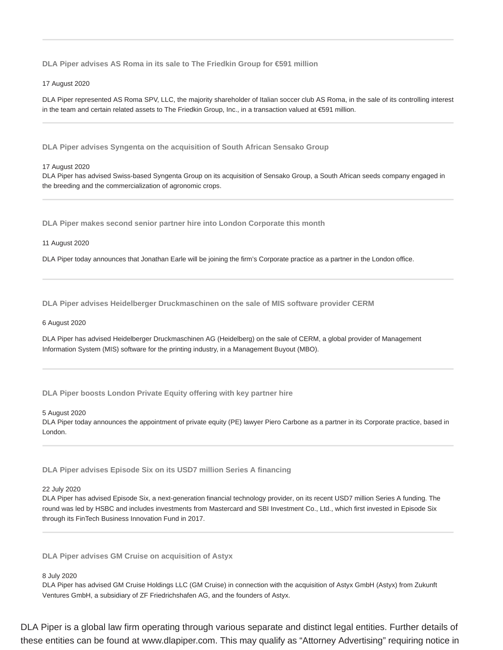**DLA Piper advises AS Roma in its sale to The Friedkin Group for €591 million**

17 August 2020

DLA Piper represented AS Roma SPV, LLC, the majority shareholder of Italian soccer club AS Roma, in the sale of its controlling interest in the team and certain related assets to The Friedkin Group, Inc., in a transaction valued at €591 million.

**DLA Piper advises Syngenta on the acquisition of South African Sensako Group**

### 17 August 2020

DLA Piper has advised Swiss-based Syngenta Group on its acquisition of Sensako Group, a South African seeds company engaged in the breeding and the commercialization of agronomic crops.

**DLA Piper makes second senior partner hire into London Corporate this month**

### 11 August 2020

DLA Piper today announces that Jonathan Earle will be joining the firm's Corporate practice as a partner in the London office.

**DLA Piper advises Heidelberger Druckmaschinen on the sale of MIS software provider CERM**

### 6 August 2020

DLA Piper has advised Heidelberger Druckmaschinen AG (Heidelberg) on the sale of CERM, a global provider of Management Information System (MIS) software for the printing industry, in a Management Buyout (MBO).

**DLA Piper boosts London Private Equity offering with key partner hire**

### 5 August 2020

DLA Piper today announces the appointment of private equity (PE) lawyer Piero Carbone as a partner in its Corporate practice, based in London.

**DLA Piper advises Episode Six on its USD7 million Series A financing**

### 22 July 2020

DLA Piper has advised Episode Six, a next-generation financial technology provider, on its recent USD7 million Series A funding. The round was led by HSBC and includes investments from Mastercard and SBI Investment Co., Ltd., which first invested in Episode Six through its FinTech Business Innovation Fund in 2017.

**DLA Piper advises GM Cruise on acquisition of Astyx**

### 8 July 2020

DLA Piper has advised GM Cruise Holdings LLC (GM Cruise) in connection with the acquisition of Astyx GmbH (Astyx) from Zukunft Ventures GmbH, a subsidiary of ZF Friedrichshafen AG, and the founders of Astyx.